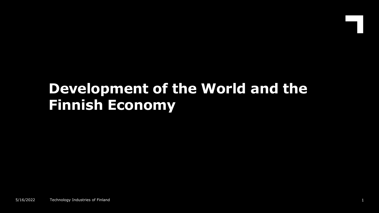# **Development of the World and the Finnish Economy**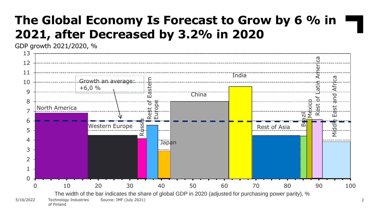## **The Global Economy Is Forecast to Grow by 6 % in 2021, after Decreased by 3.2% in 2020**

GDP growth 2021/2020, %

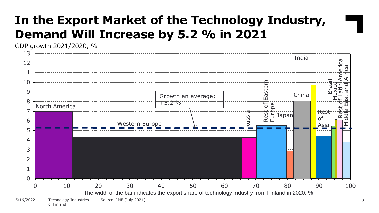#### **In the Export Market of the Technology Industry, Demand Will Increase by 5.2 % in 2021**

GDP growth 2021/2020, %

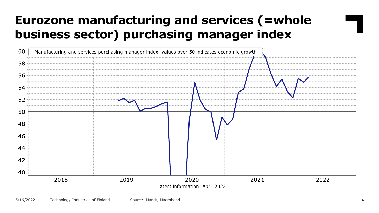# **Eurozone manufacturing and services (=whole business sector) purchasing manager index**

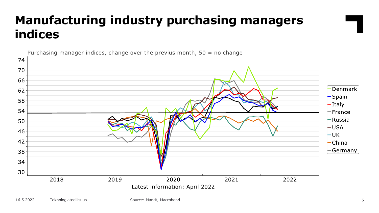# **Manufacturing industry purchasing managers indices**



Purchasing manager indices, change over the previus month,  $50 = no$  change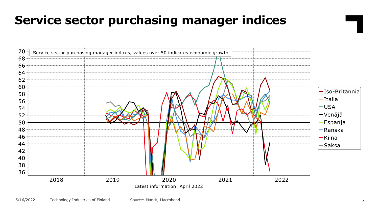## **Service sector purchasing manager indices**

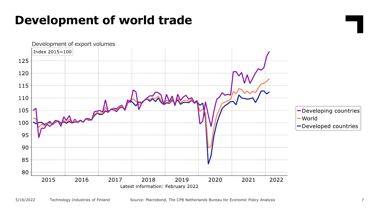#### **Development of world trade**

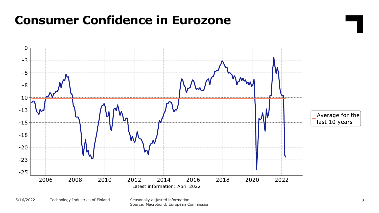#### **Consumer Confidence in Eurozone**



Source: Macrobond, European Commission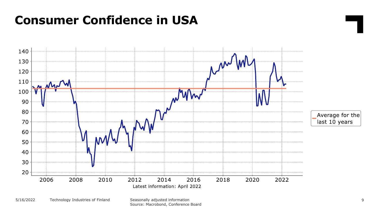#### **Consumer Confidence in USA**



Source: Macrobond, Conference Board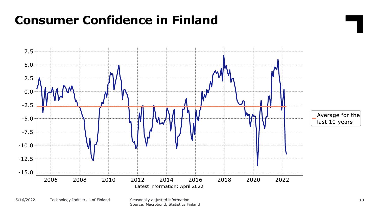#### **Consumer Confidence in Finland**



Source: Macrobond, Statistics Finland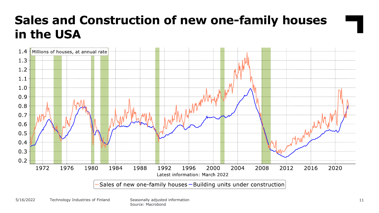# **Sales and Construction of new one-family houses in the USA**